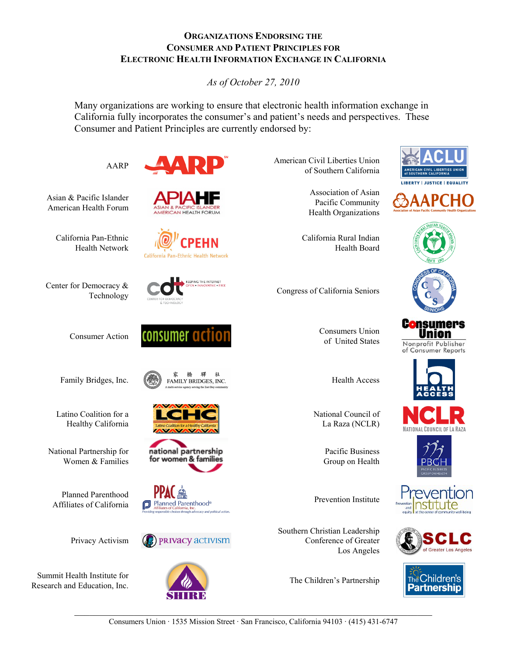#### **ORGANIZATIONS ENDORSING THE CONSUMER AND PATIENT PRINCIPLES FOR ELECTRONIC HEALTH INFORMATION EXCHANGE IN CALIFORNIA**

*As of October 27, 2010*

Many organizations are working to ensure that electronic health information exchange in California fully incorporates the consumer's and patient's needs and perspectives. These Consumer and Patient Principles are currently endorsed by:

Asian & Pacific Islander American Health Forum

> California Pan-Ethnic Health Network

Center for Democracy &

Latino Coalition for a Healthy California

National Partnership for Women & Families

Planned Parenthood

Privacy Activism

Summit Health Institute for Research and Education, Inc. **The Children's Partnership** 



California Pan-Ethnic Health Network



Consumer Action **CONSUMER ACTION** Consumers Union

Family Bridges, Inc.  $\begin{matrix} \circledast & \circledast & \circledast & \circledast \\ \circledast & \circledast & \circledast & \circledast \\ \circledast & \circledast & \circledast & \circledast \end{matrix}$  Health Access 社



national partnership for women & families







AARP American Civil Liberties Union of Southern California

> Association of Asian Pacific Community Health Organizations

California Rural Indian

Health Board







of United States



C<mark>o</mark>nsumers Union Nonprofit Publisher of Consumer Reports

National Council of La Raza (NCLR)

> Pacific Business Group on Health

Southern Christian Leadership Conference of Greater Los Angeles





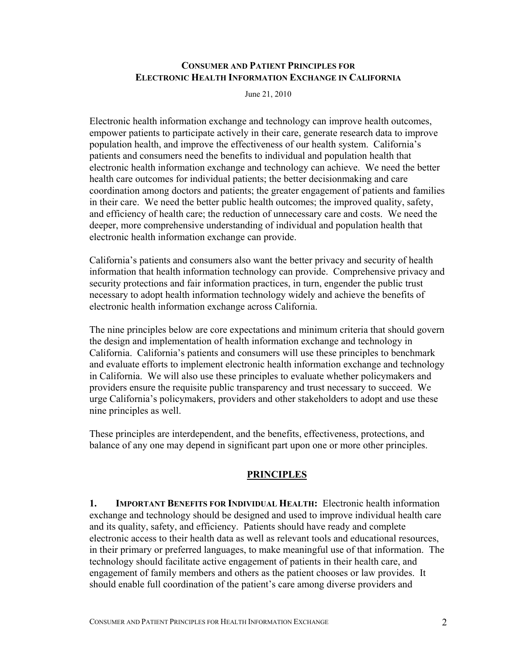#### **CONSUMER AND PATIENT PRINCIPLES FOR ELECTRONIC HEALTH INFORMATION EXCHANGE IN CALIFORNIA**

June 21, 2010

Electronic health information exchange and technology can improve health outcomes, empower patients to participate actively in their care, generate research data to improve population health, and improve the effectiveness of our health system. California's patients and consumers need the benefits to individual and population health that electronic health information exchange and technology can achieve. We need the better health care outcomes for individual patients; the better decisionmaking and care coordination among doctors and patients; the greater engagement of patients and families in their care. We need the better public health outcomes; the improved quality, safety, and efficiency of health care; the reduction of unnecessary care and costs. We need the deeper, more comprehensive understanding of individual and population health that electronic health information exchange can provide.

California's patients and consumers also want the better privacy and security of health information that health information technology can provide. Comprehensive privacy and security protections and fair information practices, in turn, engender the public trust necessary to adopt health information technology widely and achieve the benefits of electronic health information exchange across California.

The nine principles below are core expectations and minimum criteria that should govern the design and implementation of health information exchange and technology in California. California's patients and consumers will use these principles to benchmark and evaluate efforts to implement electronic health information exchange and technology in California. We will also use these principles to evaluate whether policymakers and providers ensure the requisite public transparency and trust necessary to succeed. We urge California's policymakers, providers and other stakeholders to adopt and use these nine principles as well.

These principles are interdependent, and the benefits, effectiveness, protections, and balance of any one may depend in significant part upon one or more other principles.

## **PRINCIPLES**

**1. IMPORTANT BENEFITS FOR INDIVIDUAL HEALTH:** Electronic health information exchange and technology should be designed and used to improve individual health care and its quality, safety, and efficiency. Patients should have ready and complete electronic access to their health data as well as relevant tools and educational resources, in their primary or preferred languages, to make meaningful use of that information. The technology should facilitate active engagement of patients in their health care, and engagement of family members and others as the patient chooses or law provides. It should enable full coordination of the patient's care among diverse providers and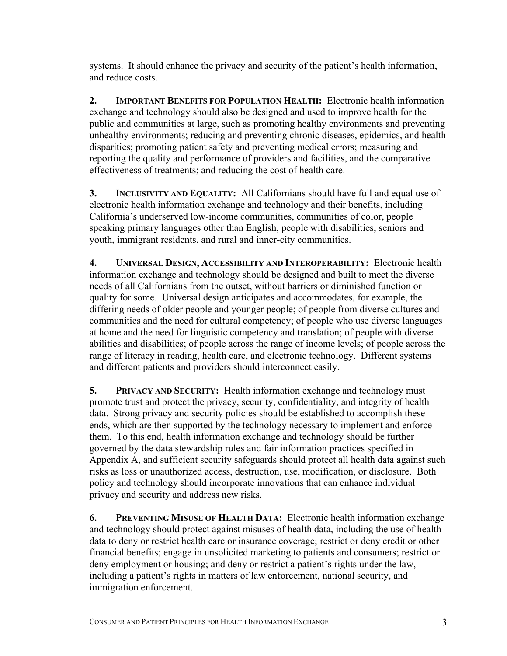systems. It should enhance the privacy and security of the patient's health information, and reduce costs.

**2. IMPORTANT BENEFITS FOR POPULATION HEALTH:** Electronic health information exchange and technology should also be designed and used to improve health for the public and communities at large, such as promoting healthy environments and preventing unhealthy environments; reducing and preventing chronic diseases, epidemics, and health disparities; promoting patient safety and preventing medical errors; measuring and reporting the quality and performance of providers and facilities, and the comparative effectiveness of treatments; and reducing the cost of health care.

**3. INCLUSIVITY AND EQUALITY:** All Californians should have full and equal use of electronic health information exchange and technology and their benefits, including California's underserved low-income communities, communities of color, people speaking primary languages other than English, people with disabilities, seniors and youth, immigrant residents, and rural and inner-city communities.

**4. UNIVERSAL DESIGN, ACCESSIBILITY AND INTEROPERABILITY:** Electronic health information exchange and technology should be designed and built to meet the diverse needs of all Californians from the outset, without barriers or diminished function or quality for some. Universal design anticipates and accommodates, for example, the differing needs of older people and younger people; of people from diverse cultures and communities and the need for cultural competency; of people who use diverse languages at home and the need for linguistic competency and translation; of people with diverse abilities and disabilities; of people across the range of income levels; of people across the range of literacy in reading, health care, and electronic technology. Different systems and different patients and providers should interconnect easily.

**5. PRIVACY AND SECURITY:** Health information exchange and technology must promote trust and protect the privacy, security, confidentiality, and integrity of health data. Strong privacy and security policies should be established to accomplish these ends, which are then supported by the technology necessary to implement and enforce them. To this end, health information exchange and technology should be further governed by the data stewardship rules and fair information practices specified in Appendix A, and sufficient security safeguards should protect all health data against such risks as loss or unauthorized access, destruction, use, modification, or disclosure. Both policy and technology should incorporate innovations that can enhance individual privacy and security and address new risks.

**6. PREVENTING MISUSE OF HEALTH DATA:** Electronic health information exchange and technology should protect against misuses of health data, including the use of health data to deny or restrict health care or insurance coverage; restrict or deny credit or other financial benefits; engage in unsolicited marketing to patients and consumers; restrict or deny employment or housing; and deny or restrict a patient's rights under the law, including a patient's rights in matters of law enforcement, national security, and immigration enforcement.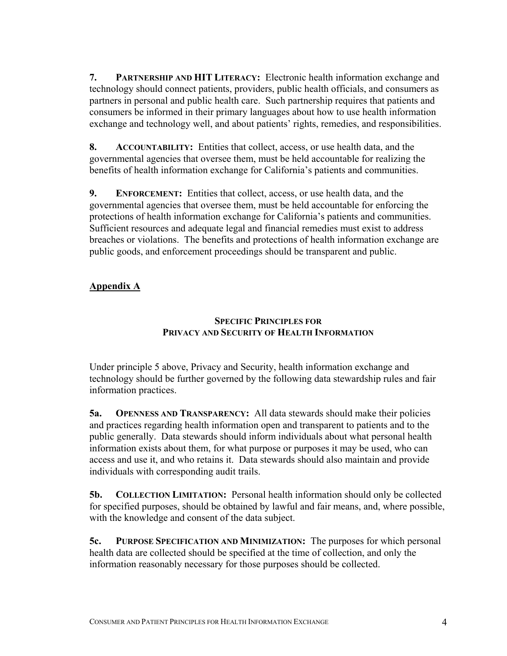**7. PARTNERSHIP AND HIT LITERACY:** Electronic health information exchange and technology should connect patients, providers, public health officials, and consumers as partners in personal and public health care. Such partnership requires that patients and consumers be informed in their primary languages about how to use health information exchange and technology well, and about patients' rights, remedies, and responsibilities.

**8. ACCOUNTABILITY:** Entities that collect, access, or use health data, and the governmental agencies that oversee them, must be held accountable for realizing the benefits of health information exchange for California's patients and communities.

**9. ENFORCEMENT:** Entities that collect, access, or use health data, and the governmental agencies that oversee them, must be held accountable for enforcing the protections of health information exchange for California's patients and communities. Sufficient resources and adequate legal and financial remedies must exist to address breaches or violations. The benefits and protections of health information exchange are public goods, and enforcement proceedings should be transparent and public.

# **Appendix A**

## **SPECIFIC PRINCIPLES FOR PRIVACY AND SECURITY OF HEALTH INFORMATION**

Under principle 5 above, Privacy and Security, health information exchange and technology should be further governed by the following data stewardship rules and fair information practices.

**5a. OPENNESS AND TRANSPARENCY:** All data stewards should make their policies and practices regarding health information open and transparent to patients and to the public generally. Data stewards should inform individuals about what personal health information exists about them, for what purpose or purposes it may be used, who can access and use it, and who retains it. Data stewards should also maintain and provide individuals with corresponding audit trails.

**5b. COLLECTION LIMITATION:** Personal health information should only be collected for specified purposes, should be obtained by lawful and fair means, and, where possible, with the knowledge and consent of the data subject.

**5c. PURPOSE SPECIFICATION AND MINIMIZATION:** The purposes for which personal health data are collected should be specified at the time of collection, and only the information reasonably necessary for those purposes should be collected.